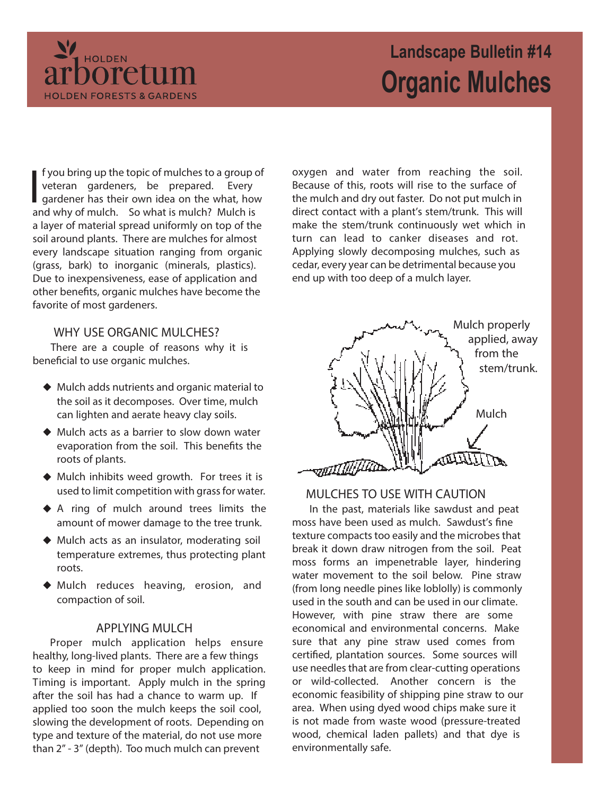

# **Landscape Bulletin #14 Organic Mulches**

I f you bring up the topic of mulches to a group<br>veteran gardeners, be prepared. Every<br>gardener has their own idea on the what, how<br>and why of mulch. So what is mulch? Mulch is f you bring up the topic of mulches to a group of veteran gardeners, be prepared. Every gardener has their own idea on the what, how a layer of material spread uniformly on top of the soil around plants. There are mulches for almost every landscape situation ranging from organic (grass, bark) to inorganic (minerals, plastics). Due to inexpensiveness, ease of application and other benefits, organic mulches have become the favorite of most gardeners.

## **WHY USE ORGANIC MULCHES?**

There are a couple of reasons why it is beneficial to use organic mulches.

- Mulch adds nutrients and organic material to the soil as it decomposes. Over time, mulch can lighten and aerate heavy clay soils.
- ◆ Mulch acts as a barrier to slow down water evaporation from the soil. This benefits the roots of plants.
- Mulch inhibits weed growth. For trees it is used to limit competition with grass for water.
- A ring of mulch around trees limits the amount of mower damage to the tree trunk.
- Mulch acts as an insulator, moderating soil temperature extremes, thus protecting plant roots.
- Mulch reduces heaving, erosion, and compaction of soil.

#### **APPLYING MULCH**

Proper mulch application helps ensure healthy, long-lived plants. There are a few things to keep in mind for proper mulch application. Timing is important. Apply mulch in the spring after the soil has had a chance to warm up. If applied too soon the mulch keeps the soil cool, slowing the development of roots. Depending on type and texture of the material, do not use more than 2" - 3" (depth). Too much mulch can prevent

oxygen and water from reaching the soil. Because of this, roots will rise to the surface of the mulch and dry out faster. Do not put mulch in direct contact with a plant's stem/trunk. This will make the stem/trunk continuously wet which in turn can lead to canker diseases and rot. Applying slowly decomposing mulches, such as cedar, every year can be detrimental because you end up with too deep of a mulch layer.



# **MULCHES TO USE WITH CAUTION**

In the past, materials like sawdust and peat moss have been used as mulch. Sawdust's fine texture compacts too easily and the microbes that break it down draw nitrogen from the soil. Peat moss forms an impenetrable layer, hindering water movement to the soil below. Pine straw (from long needle pines like loblolly) is commonly used in the south and can be used in our climate. However, with pine straw there are some economical and environmental concerns. Make sure that any pine straw used comes from certified, plantation sources. Some sources will use needles that are from clear-cutting operations or wild-collected. Another concern is the economic feasibility of shipping pine straw to our area. When using dyed wood chips make sure it is not made from waste wood (pressure-treated wood, chemical laden pallets) and that dye is environmentally safe.